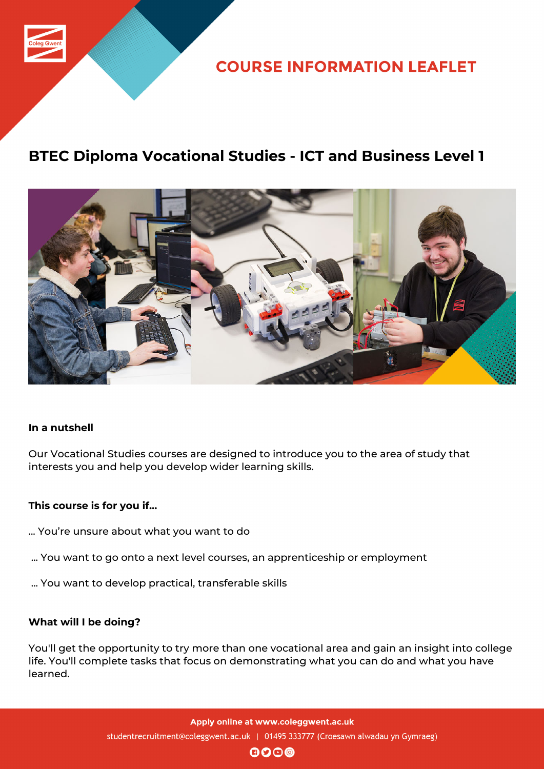

**COURSE INFORMATION LEAFLET** 

# **BTEC Diploma Vocational Studies - ICT and Business Level 1**



## **In a nutshell**

Our Vocational Studies courses are designed to introduce you to the area of study that interests you and help you develop wider learning skills.

#### **This course is for you if...**

- ... You're unsure about what you want to do
- ... You want to go onto a next level courses, an apprenticeship or employment
- ... You want to develop practical, transferable skills

#### **What will I be doing?**

You'll get the opportunity to try more than one vocational area and gain an insight into college life. You'll complete tasks that focus on demonstrating what you can do and what you have learned.

> Apply online at www.coleggwent.ac.uk studentrecruitment@coleggwent.ac.uk | 01495 333777 (Croesawn alwadau yn Gymraeg)

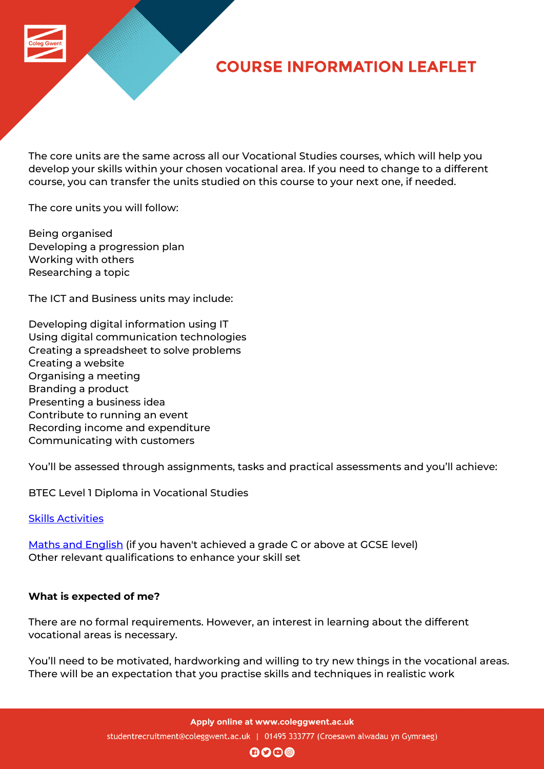

# **COURSE INFORMATION LEAFLET**

The core units are the same across all our Vocational Studies courses, which will help you develop your skills within your chosen vocational area. If you need to change to a different course, you can transfer the units studied on this course to your next one, if needed.

The core units you will follow:

Being organised Developing a progression plan Working with others Researching a topic

The ICT and Business units may include:

Developing digital information using IT Using digital communication technologies Creating a spreadsheet to solve problems Creating a website Organising a meeting Branding a product Presenting a business idea Contribute to running an event Recording income and expenditure Communicating with customers

You'll be assessed through assignments, tasks and practical assessments and you'll achieve:

BTEC Level 1 Diploma in Vocational Studies

## Skills Activities

Maths and English (if you haven't achieved a grade C or above at GCSE level) [Other relevant](http://www.coleggwent.ac.uk/index.php?option=com_content&view=article&id=117#.WT_IG8s5WUk) qualifications to enhance your skill set

## **[What is expected](http://www.coleggwent.ac.uk/index.php?option=com_content&view=article&id=2314) of me?**

There are no formal requirements. However, an interest in learning about the different vocational areas is necessary.

You'll need to be motivated, hardworking and willing to try new things in the vocational areas. There will be an expectation that you practise skills and techniques in realistic work

Apply online at www.coleggwent.ac.uk

studentrecruitment@coleggwent.ac.uk | 01495 333777 (Croesawn alwadau yn Gymraeg)